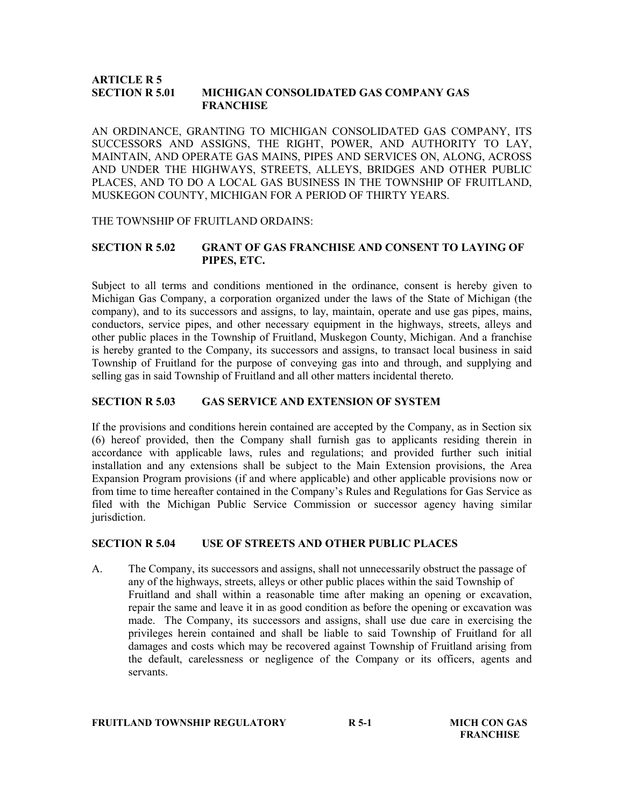#### ARTICLE R 5 SECTION R 5.01 MICHIGAN CONSOLIDATED GAS COMPANY GAS **FRANCHISE**

AN ORDINANCE, GRANTING TO MICHIGAN CONSOLIDATED GAS COMPANY, ITS SUCCESSORS AND ASSIGNS, THE RIGHT, POWER, AND AUTHORITY TO LAY, MAINTAIN, AND OPERATE GAS MAINS, PIPES AND SERVICES ON, ALONG, ACROSS AND UNDER THE HIGHWAYS, STREETS, ALLEYS, BRIDGES AND OTHER PUBLIC PLACES, AND TO DO A LOCAL GAS BUSINESS IN THE TOWNSHIP OF FRUITLAND, MUSKEGON COUNTY, MICHIGAN FOR A PERIOD OF THIRTY YEARS.

### THE TOWNSHIP OF FRUITLAND ORDAINS:

# SECTION R 5.02 GRANT OF GAS FRANCHISE AND CONSENT TO LAYING OF PIPES, ETC.

Subject to all terms and conditions mentioned in the ordinance, consent is hereby given to Michigan Gas Company, a corporation organized under the laws of the State of Michigan (the company), and to its successors and assigns, to lay, maintain, operate and use gas pipes, mains, conductors, service pipes, and other necessary equipment in the highways, streets, alleys and other public places in the Township of Fruitland, Muskegon County, Michigan. And a franchise is hereby granted to the Company, its successors and assigns, to transact local business in said Township of Fruitland for the purpose of conveying gas into and through, and supplying and selling gas in said Township of Fruitland and all other matters incidental thereto.

## SECTION R 5.03 GAS SERVICE AND EXTENSION OF SYSTEM

If the provisions and conditions herein contained are accepted by the Company, as in Section six (6) hereof provided, then the Company shall furnish gas to applicants residing therein in accordance with applicable laws, rules and regulations; and provided further such initial installation and any extensions shall be subject to the Main Extension provisions, the Area Expansion Program provisions (if and where applicable) and other applicable provisions now or from time to time hereafter contained in the Company's Rules and Regulations for Gas Service as filed with the Michigan Public Service Commission or successor agency having similar jurisdiction.

### SECTION R 5.04 USE OF STREETS AND OTHER PUBLIC PLACES

A. The Company, its successors and assigns, shall not unnecessarily obstruct the passage of any of the highways, streets, alleys or other public places within the said Township of Fruitland and shall within a reasonable time after making an opening or excavation, repair the same and leave it in as good condition as before the opening or excavation was made. The Company, its successors and assigns, shall use due care in exercising the privileges herein contained and shall be liable to said Township of Fruitland for all damages and costs which may be recovered against Township of Fruitland arising from the default, carelessness or negligence of the Company or its officers, agents and servants.

#### FRUITLAND TOWNSHIP REGULATORY R5-1 MICH CON GAS

**FRANCHISE**